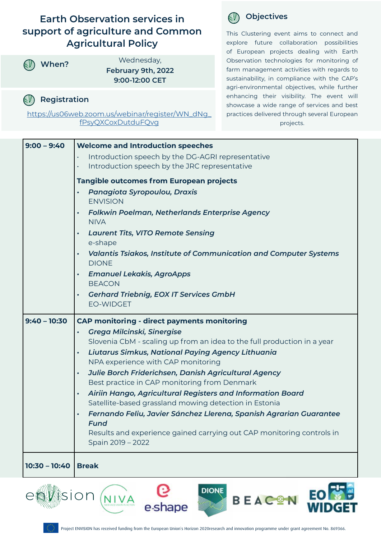## **Earth Observation services in support of agriculture and Common Agricultural Policy**



**When?** Wednesday, **February 9th, 2022 9:00-12:00 CET**

### **Registration**   $(V)$

[https://us06web.zoom.us/webinar/register/WN\\_dNg\\_](https://us06web.zoom.us/webinar/register/WN_dNg_fPsyQXCoxDutduFQvg) [fPsyQXCoxDutduFQvg](https://us06web.zoom.us/webinar/register/WN_dNg_fPsyQXCoxDutduFQvg)



This Clustering event aims to connect and explore future collaboration possibilities of European projects dealing with Earth Observation technologies for monitoring of farm management activities with regards to sustainability, in compliance with the CAP's agri-environmental objectives, while further enhancing their visibility. The event will showcase a wide range of services and best practices delivered through several European projects.

| $9:00 - 9:40$                                               | <b>Welcome and Introduction speeches</b>                                                                          |
|-------------------------------------------------------------|-------------------------------------------------------------------------------------------------------------------|
|                                                             | Introduction speech by the DG-AGRI representative<br>$\bullet$                                                    |
|                                                             | Introduction speech by the JRC representative                                                                     |
|                                                             | <b>Tangible outcomes from European projects</b>                                                                   |
|                                                             | Panagiota Syropoulou, Draxis<br>$\bullet$<br><b>ENVISION</b>                                                      |
|                                                             | Folkwin Poelman, Netherlands Enterprise Agency<br><b>NIVA</b>                                                     |
|                                                             | <b>Laurent Tits, VITO Remote Sensing</b><br>$\bullet$<br>e-shape                                                  |
|                                                             | Valantis Tsiakos, Institute of Communication and Computer Systems<br>$\bullet$<br><b>DIONE</b>                    |
|                                                             | <b>Emanuel Lekakis, AgroApps</b><br>$\bullet$<br><b>BEACON</b>                                                    |
|                                                             | <b>Gerhard Triebnig, EOX IT Services GmbH</b><br>$\bullet$<br><b>EO-WIDGET</b>                                    |
| $9:40 - 10:30$                                              | <b>CAP monitoring - direct payments monitoring</b>                                                                |
|                                                             | Grega Milcinski, Sinergise<br>$\bullet$                                                                           |
|                                                             | Slovenia CbM - scaling up from an idea to the full production in a year                                           |
|                                                             | Liutarus Simkus, National Paying Agency Lithuania<br>$\bullet$                                                    |
|                                                             | NPA experience with CAP monitoring                                                                                |
|                                                             | Julie Borch Friderichsen, Danish Agricultural Agency<br>$\bullet$<br>Best practice in CAP monitoring from Denmark |
|                                                             | Airiin Hango, Agricultural Registers and Information Board<br>$\bullet$                                           |
|                                                             | Satellite-based grassland mowing detection in Estonia                                                             |
|                                                             | Fernando Feliu, Javier Sánchez Llerena, Spanish Agrarian Guarantee<br>$\bullet$                                   |
|                                                             | <b>Fund</b>                                                                                                       |
|                                                             | Results and experience gained carrying out CAP monitoring controls in<br>Spain 2019 - 2022                        |
|                                                             |                                                                                                                   |
| $10:30 - 10:40$                                             | <b>Break</b>                                                                                                      |
| <b>DIONE</b><br>sion<br><b>BEAC<sup>O</sup>N</b><br>e-shape |                                                                                                                   |